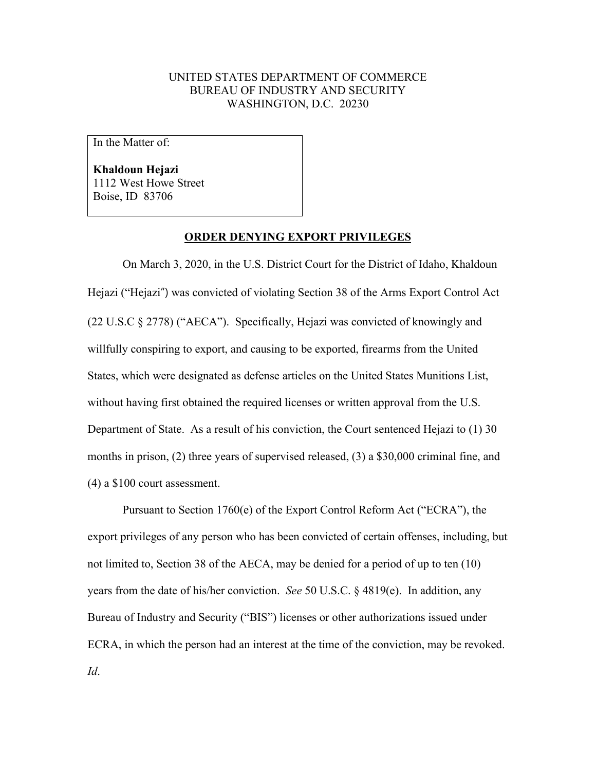## UNITED STATES DEPARTMENT OF COMMERCE BUREAU OF INDUSTRY AND SECURITY WASHINGTON, D.C. 20230

In the Matter of:

**Khaldoun Hejazi** 1112 West Howe Street Boise, ID 83706

## **ORDER DENYING EXPORT PRIVILEGES**

On March 3, 2020, in the U.S. District Court for the District of Idaho, Khaldoun Hejazi ("Hejazi") was convicted of violating Section 38 of the Arms Export Control Act (22 U.S.C § 2778) ("AECA"). Specifically, Hejazi was convicted of knowingly and willfully conspiring to export, and causing to be exported, firearms from the United States, which were designated as defense articles on the United States Munitions List, without having first obtained the required licenses or written approval from the U.S. Department of State. As a result of his conviction, the Court sentenced Hejazi to (1) 30 months in prison, (2) three years of supervised released, (3) a \$30,000 criminal fine, and (4) a \$100 court assessment.

Pursuant to Section 1760(e) of the Export Control Reform Act ("ECRA"), the export privileges of any person who has been convicted of certain offenses, including, but not limited to, Section 38 of the AECA, may be denied for a period of up to ten (10) years from the date of his/her conviction. *See* 50 U.S.C. § 4819(e). In addition, any Bureau of Industry and Security ("BIS") licenses or other authorizations issued under ECRA, in which the person had an interest at the time of the conviction, may be revoked. *Id*.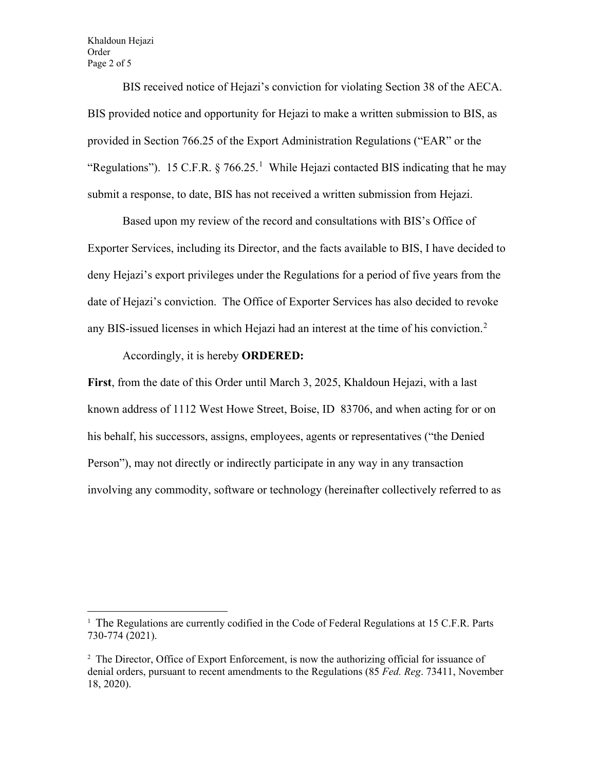Khaldoun Hejazi Order Page 2 of 5

BIS received notice of Hejazi's conviction for violating Section 38 of the AECA. BIS provided notice and opportunity for Hejazi to make a written submission to BIS, as provided in Section 766.25 of the Export Administration Regulations ("EAR" or the "Regulations"). [1](#page-1-0)5 C.F.R.  $\S$  766.25.<sup>1</sup> While Hejazi contacted BIS indicating that he may submit a response, to date, BIS has not received a written submission from Hejazi.

Based upon my review of the record and consultations with BIS's Office of Exporter Services, including its Director, and the facts available to BIS, I have decided to deny Hejazi's export privileges under the Regulations for a period of five years from the date of Hejazi's conviction. The Office of Exporter Services has also decided to revoke any BIS-issued licenses in which Hejazi had an interest at the time of his conviction.<sup>[2](#page-1-1)</sup>

## Accordingly, it is hereby **ORDERED:**

**First**, from the date of this Order until March 3, 2025, Khaldoun Hejazi, with a last known address of 1112 West Howe Street, Boise, ID 83706, and when acting for or on his behalf, his successors, assigns, employees, agents or representatives ("the Denied Person"), may not directly or indirectly participate in any way in any transaction involving any commodity, software or technology (hereinafter collectively referred to as

<span id="page-1-0"></span><sup>&</sup>lt;sup>1</sup> The Regulations are currently codified in the Code of Federal Regulations at 15 C.F.R. Parts 730-774 (2021).

<span id="page-1-1"></span> $2^2$  The Director, Office of Export Enforcement, is now the authorizing official for issuance of denial orders, pursuant to recent amendments to the Regulations (85 *Fed. Reg*. 73411, November 18, 2020).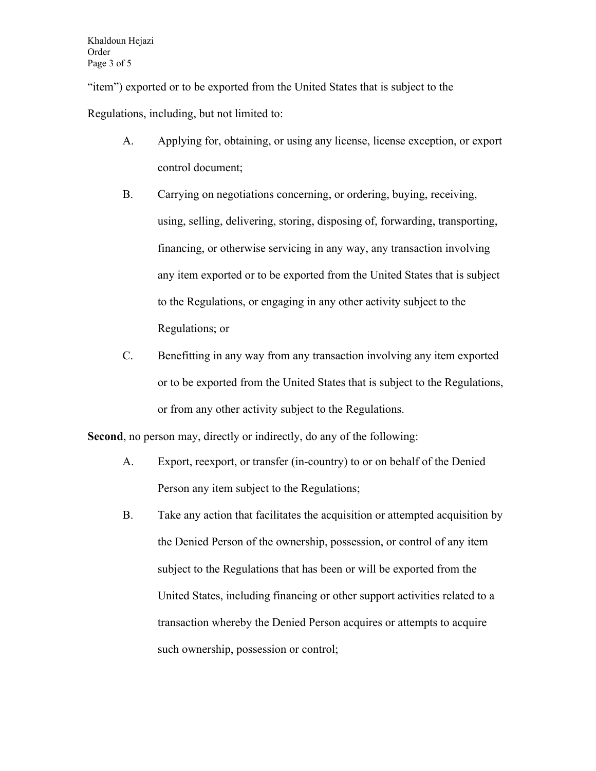"item") exported or to be exported from the United States that is subject to the Regulations, including, but not limited to:

- A. Applying for, obtaining, or using any license, license exception, or export control document;
- B. Carrying on negotiations concerning, or ordering, buying, receiving, using, selling, delivering, storing, disposing of, forwarding, transporting, financing, or otherwise servicing in any way, any transaction involving any item exported or to be exported from the United States that is subject to the Regulations, or engaging in any other activity subject to the Regulations; or
- C. Benefitting in any way from any transaction involving any item exported or to be exported from the United States that is subject to the Regulations, or from any other activity subject to the Regulations.

**Second**, no person may, directly or indirectly, do any of the following:

- A. Export, reexport, or transfer (in-country) to or on behalf of the Denied Person any item subject to the Regulations;
- B. Take any action that facilitates the acquisition or attempted acquisition by the Denied Person of the ownership, possession, or control of any item subject to the Regulations that has been or will be exported from the United States, including financing or other support activities related to a transaction whereby the Denied Person acquires or attempts to acquire such ownership, possession or control;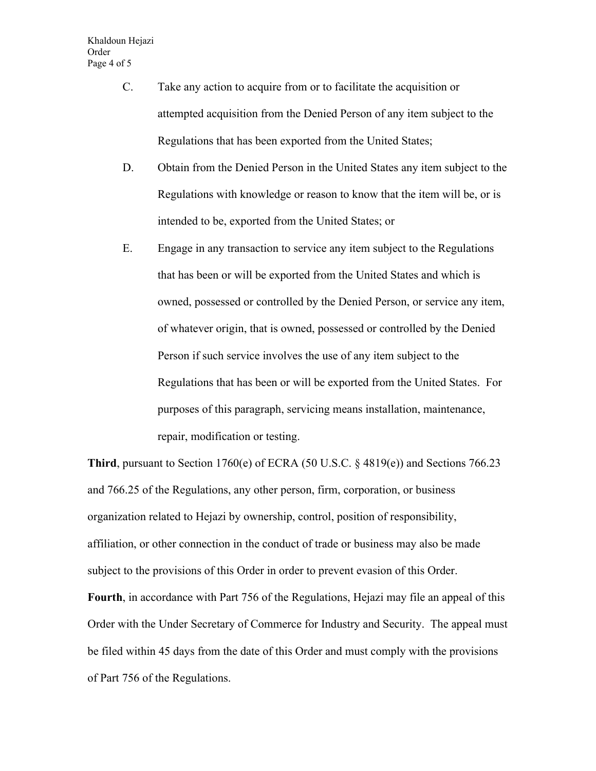- C. Take any action to acquire from or to facilitate the acquisition or attempted acquisition from the Denied Person of any item subject to the Regulations that has been exported from the United States;
- D. Obtain from the Denied Person in the United States any item subject to the Regulations with knowledge or reason to know that the item will be, or is intended to be, exported from the United States; or
- E. Engage in any transaction to service any item subject to the Regulations that has been or will be exported from the United States and which is owned, possessed or controlled by the Denied Person, or service any item, of whatever origin, that is owned, possessed or controlled by the Denied Person if such service involves the use of any item subject to the Regulations that has been or will be exported from the United States. For purposes of this paragraph, servicing means installation, maintenance, repair, modification or testing.

**Third**, pursuant to Section 1760(e) of ECRA (50 U.S.C. § 4819(e)) and Sections 766.23 and 766.25 of the Regulations, any other person, firm, corporation, or business organization related to Hejazi by ownership, control, position of responsibility, affiliation, or other connection in the conduct of trade or business may also be made subject to the provisions of this Order in order to prevent evasion of this Order. **Fourth**, in accordance with Part 756 of the Regulations, Hejazi may file an appeal of this Order with the Under Secretary of Commerce for Industry and Security. The appeal must be filed within 45 days from the date of this Order and must comply with the provisions of Part 756 of the Regulations.